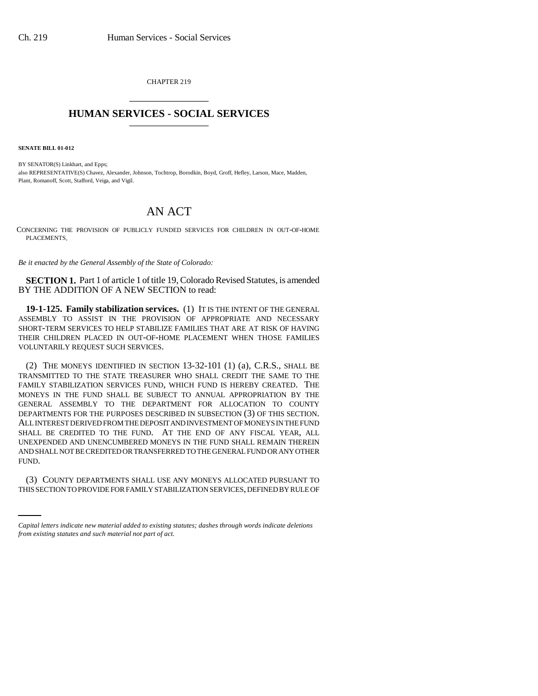CHAPTER 219 \_\_\_\_\_\_\_\_\_\_\_\_\_\_\_

## **HUMAN SERVICES - SOCIAL SERVICES** \_\_\_\_\_\_\_\_\_\_\_\_\_\_\_

**SENATE BILL 01-012**

BY SENATOR(S) Linkhart, and Epps; also REPRESENTATIVE(S) Chavez, Alexander, Johnson, Tochtrop, Borodkin, Boyd, Groff, Hefley, Larson, Mace, Madden, Plant, Romanoff, Scott, Stafford, Veiga, and Vigil.

## AN ACT

CONCERNING THE PROVISION OF PUBLICLY FUNDED SERVICES FOR CHILDREN IN OUT-OF-HOME PLACEMENTS.

*Be it enacted by the General Assembly of the State of Colorado:*

**SECTION 1.** Part 1 of article 1 of title 19, Colorado Revised Statutes, is amended BY THE ADDITION OF A NEW SECTION to read:

**19-1-125. Family stabilization services.** (1) IT IS THE INTENT OF THE GENERAL ASSEMBLY TO ASSIST IN THE PROVISION OF APPROPRIATE AND NECESSARY SHORT-TERM SERVICES TO HELP STABILIZE FAMILIES THAT ARE AT RISK OF HAVING THEIR CHILDREN PLACED IN OUT-OF-HOME PLACEMENT WHEN THOSE FAMILIES VOLUNTARILY REQUEST SUCH SERVICES.

(2) THE MONEYS IDENTIFIED IN SECTION 13-32-101 (1) (a), C.R.S., SHALL BE TRANSMITTED TO THE STATE TREASURER WHO SHALL CREDIT THE SAME TO THE FAMILY STABILIZATION SERVICES FUND, WHICH FUND IS HEREBY CREATED. THE MONEYS IN THE FUND SHALL BE SUBJECT TO ANNUAL APPROPRIATION BY THE GENERAL ASSEMBLY TO THE DEPARTMENT FOR ALLOCATION TO COUNTY DEPARTMENTS FOR THE PURPOSES DESCRIBED IN SUBSECTION (3) OF THIS SECTION. ALL INTEREST DERIVED FROM THE DEPOSIT AND INVESTMENT OF MONEYS IN THE FUND SHALL BE CREDITED TO THE FUND. AT THE END OF ANY FISCAL YEAR, ALL UNEXPENDED AND UNENCUMBERED MONEYS IN THE FUND SHALL REMAIN THEREIN AND SHALL NOT BE CREDITED OR TRANSFERRED TO THE GENERAL FUND OR ANY OTHER FUND.

(3) COUNTY DEPARTMENTS SHALL USE ANY MONEYS ALLOCATED PURSUANT TO THIS SECTION TO PROVIDE FOR FAMILY STABILIZATION SERVICES, DEFINED BY RULE OF

*Capital letters indicate new material added to existing statutes; dashes through words indicate deletions from existing statutes and such material not part of act.*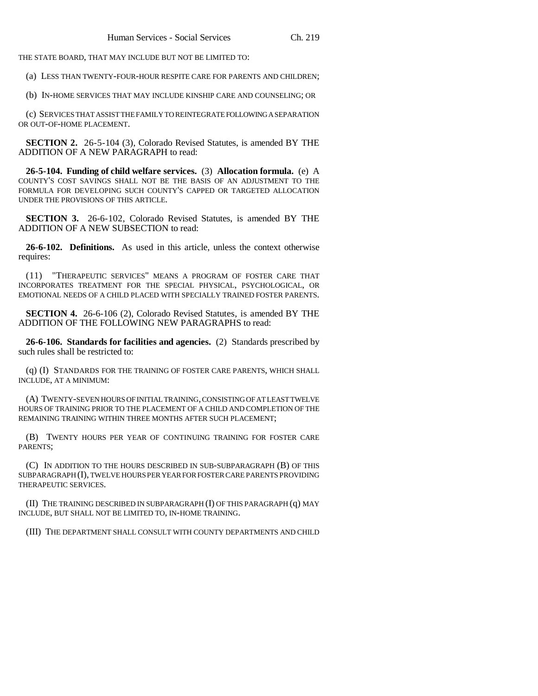THE STATE BOARD, THAT MAY INCLUDE BUT NOT BE LIMITED TO:

(a) LESS THAN TWENTY-FOUR-HOUR RESPITE CARE FOR PARENTS AND CHILDREN;

(b) IN-HOME SERVICES THAT MAY INCLUDE KINSHIP CARE AND COUNSELING; OR

(c) SERVICES THAT ASSIST THE FAMILY TO REINTEGRATE FOLLOWING A SEPARATION OR OUT-OF-HOME PLACEMENT.

**SECTION 2.** 26-5-104 (3), Colorado Revised Statutes, is amended BY THE ADDITION OF A NEW PARAGRAPH to read:

**26-5-104. Funding of child welfare services.** (3) **Allocation formula.** (e) A COUNTY'S COST SAVINGS SHALL NOT BE THE BASIS OF AN ADJUSTMENT TO THE FORMULA FOR DEVELOPING SUCH COUNTY'S CAPPED OR TARGETED ALLOCATION UNDER THE PROVISIONS OF THIS ARTICLE.

**SECTION 3.** 26-6-102, Colorado Revised Statutes, is amended BY THE ADDITION OF A NEW SUBSECTION to read:

**26-6-102. Definitions.** As used in this article, unless the context otherwise requires:

(11) "THERAPEUTIC SERVICES" MEANS A PROGRAM OF FOSTER CARE THAT INCORPORATES TREATMENT FOR THE SPECIAL PHYSICAL, PSYCHOLOGICAL, OR EMOTIONAL NEEDS OF A CHILD PLACED WITH SPECIALLY TRAINED FOSTER PARENTS.

**SECTION 4.** 26-6-106 (2), Colorado Revised Statutes, is amended BY THE ADDITION OF THE FOLLOWING NEW PARAGRAPHS to read:

**26-6-106. Standards for facilities and agencies.** (2) Standards prescribed by such rules shall be restricted to:

(q) (I) STANDARDS FOR THE TRAINING OF FOSTER CARE PARENTS, WHICH SHALL INCLUDE, AT A MINIMUM:

(A) TWENTY-SEVEN HOURS OF INITIAL TRAINING, CONSISTING OF AT LEAST TWELVE HOURS OF TRAINING PRIOR TO THE PLACEMENT OF A CHILD AND COMPLETION OF THE REMAINING TRAINING WITHIN THREE MONTHS AFTER SUCH PLACEMENT;

(B) TWENTY HOURS PER YEAR OF CONTINUING TRAINING FOR FOSTER CARE PARENTS;

(C) IN ADDITION TO THE HOURS DESCRIBED IN SUB-SUBPARAGRAPH (B) OF THIS SUBPARAGRAPH (I), TWELVE HOURS PER YEAR FOR FOSTER CARE PARENTS PROVIDING THERAPEUTIC SERVICES.

(II) THE TRAINING DESCRIBED IN SUBPARAGRAPH (I) OF THIS PARAGRAPH (q) MAY INCLUDE, BUT SHALL NOT BE LIMITED TO, IN-HOME TRAINING.

(III) THE DEPARTMENT SHALL CONSULT WITH COUNTY DEPARTMENTS AND CHILD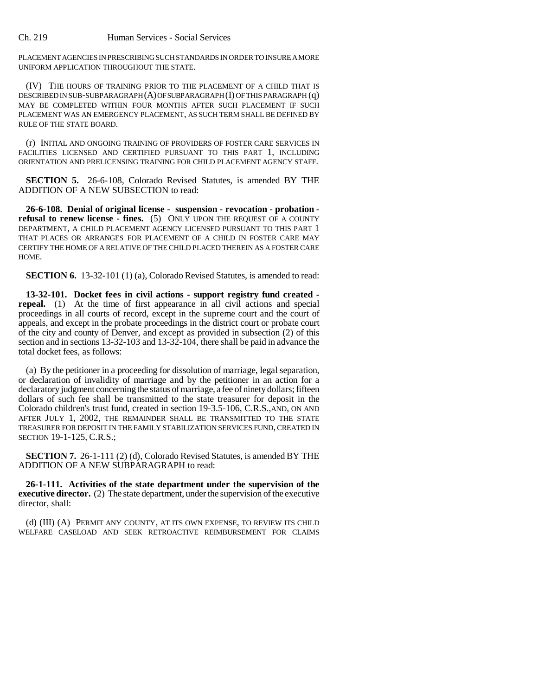PLACEMENT AGENCIES IN PRESCRIBING SUCH STANDARDS IN ORDER TO INSURE A MORE UNIFORM APPLICATION THROUGHOUT THE STATE.

(IV) THE HOURS OF TRAINING PRIOR TO THE PLACEMENT OF A CHILD THAT IS DESCRIBED IN SUB-SUBPARAGRAPH (A) OF SUBPARAGRAPH (I) OF THIS PARAGRAPH (q) MAY BE COMPLETED WITHIN FOUR MONTHS AFTER SUCH PLACEMENT IF SUCH PLACEMENT WAS AN EMERGENCY PLACEMENT, AS SUCH TERM SHALL BE DEFINED BY RULE OF THE STATE BOARD.

(r) INITIAL AND ONGOING TRAINING OF PROVIDERS OF FOSTER CARE SERVICES IN FACILITIES LICENSED AND CERTIFIED PURSUANT TO THIS PART 1, INCLUDING ORIENTATION AND PRELICENSING TRAINING FOR CHILD PLACEMENT AGENCY STAFF.

**SECTION 5.** 26-6-108, Colorado Revised Statutes, is amended BY THE ADDITION OF A NEW SUBSECTION to read:

**26-6-108. Denial of original license - suspension - revocation - probation refusal to renew license - fines.** (5) ONLY UPON THE REQUEST OF A COUNTY DEPARTMENT, A CHILD PLACEMENT AGENCY LICENSED PURSUANT TO THIS PART 1 THAT PLACES OR ARRANGES FOR PLACEMENT OF A CHILD IN FOSTER CARE MAY CERTIFY THE HOME OF A RELATIVE OF THE CHILD PLACED THEREIN AS A FOSTER CARE HOME.

**SECTION 6.** 13-32-101 (1) (a), Colorado Revised Statutes, is amended to read:

**13-32-101. Docket fees in civil actions - support registry fund created repeal.** (1) At the time of first appearance in all civil actions and special proceedings in all courts of record, except in the supreme court and the court of appeals, and except in the probate proceedings in the district court or probate court of the city and county of Denver, and except as provided in subsection (2) of this section and in sections 13-32-103 and 13-32-104, there shall be paid in advance the total docket fees, as follows:

(a) By the petitioner in a proceeding for dissolution of marriage, legal separation, or declaration of invalidity of marriage and by the petitioner in an action for a declaratory judgment concerning the status of marriage, a fee of ninety dollars; fifteen dollars of such fee shall be transmitted to the state treasurer for deposit in the Colorado children's trust fund, created in section 19-3.5-106, C.R.S.,AND, ON AND AFTER JULY 1, 2002, THE REMAINDER SHALL BE TRANSMITTED TO THE STATE TREASURER FOR DEPOSIT IN THE FAMILY STABILIZATION SERVICES FUND, CREATED IN SECTION 19-1-125, C.R.S.;

**SECTION 7.** 26-1-111 (2) (d), Colorado Revised Statutes, is amended BY THE ADDITION OF A NEW SUBPARAGRAPH to read:

**26-1-111. Activities of the state department under the supervision of the executive director.** (2) The state department, under the supervision of the executive director, shall:

(d) (III) (A) PERMIT ANY COUNTY, AT ITS OWN EXPENSE, TO REVIEW ITS CHILD WELFARE CASELOAD AND SEEK RETROACTIVE REIMBURSEMENT FOR CLAIMS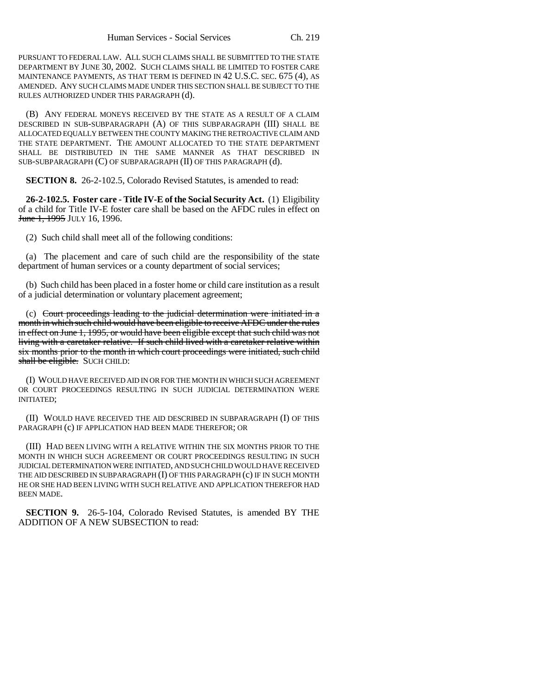PURSUANT TO FEDERAL LAW. ALL SUCH CLAIMS SHALL BE SUBMITTED TO THE STATE DEPARTMENT BY JUNE 30, 2002. SUCH CLAIMS SHALL BE LIMITED TO FOSTER CARE MAINTENANCE PAYMENTS, AS THAT TERM IS DEFINED IN 42 U.S.C. SEC. 675 (4), AS AMENDED. ANY SUCH CLAIMS MADE UNDER THIS SECTION SHALL BE SUBJECT TO THE RULES AUTHORIZED UNDER THIS PARAGRAPH (d).

(B) ANY FEDERAL MONEYS RECEIVED BY THE STATE AS A RESULT OF A CLAIM DESCRIBED IN SUB-SUBPARAGRAPH (A) OF THIS SUBPARAGRAPH (III) SHALL BE ALLOCATED EQUALLY BETWEEN THE COUNTY MAKING THE RETROACTIVE CLAIM AND THE STATE DEPARTMENT. THE AMOUNT ALLOCATED TO THE STATE DEPARTMENT SHALL BE DISTRIBUTED IN THE SAME MANNER AS THAT DESCRIBED IN SUB-SUBPARAGRAPH (C) OF SUBPARAGRAPH (II) OF THIS PARAGRAPH (d).

**SECTION 8.** 26-2-102.5, Colorado Revised Statutes, is amended to read:

**26-2-102.5. Foster care - Title IV-E of the Social Security Act.** (1) Eligibility of a child for Title IV-E foster care shall be based on the AFDC rules in effect on **June 1, 1995 JULY 16, 1996.** 

(2) Such child shall meet all of the following conditions:

(a) The placement and care of such child are the responsibility of the state department of human services or a county department of social services;

(b) Such child has been placed in a foster home or child care institution as a result of a judicial determination or voluntary placement agreement;

(c) Court proceedings leading to the judicial determination were initiated in a month in which such child would have been eligible to receive AFDC under the rules in effect on June 1, 1995, or would have been eligible except that such child was not living with a caretaker relative. If such child lived with a caretaker relative within six months prior to the month in which court proceedings were initiated, such child shall be eligible. SUCH CHILD:

(I) WOULD HAVE RECEIVED AID IN OR FOR THE MONTH IN WHICH SUCH AGREEMENT OR COURT PROCEEDINGS RESULTING IN SUCH JUDICIAL DETERMINATION WERE INITIATED;

(II) WOULD HAVE RECEIVED THE AID DESCRIBED IN SUBPARAGRAPH (I) OF THIS PARAGRAPH (c) IF APPLICATION HAD BEEN MADE THEREFOR; OR

(III) HAD BEEN LIVING WITH A RELATIVE WITHIN THE SIX MONTHS PRIOR TO THE MONTH IN WHICH SUCH AGREEMENT OR COURT PROCEEDINGS RESULTING IN SUCH JUDICIAL DETERMINATION WERE INITIATED, AND SUCH CHILD WOULD HAVE RECEIVED THE AID DESCRIBED IN SUBPARAGRAPH (I) OF THIS PARAGRAPH (c) IF IN SUCH MONTH HE OR SHE HAD BEEN LIVING WITH SUCH RELATIVE AND APPLICATION THEREFOR HAD BEEN MADE.

**SECTION 9.** 26-5-104, Colorado Revised Statutes, is amended BY THE ADDITION OF A NEW SUBSECTION to read: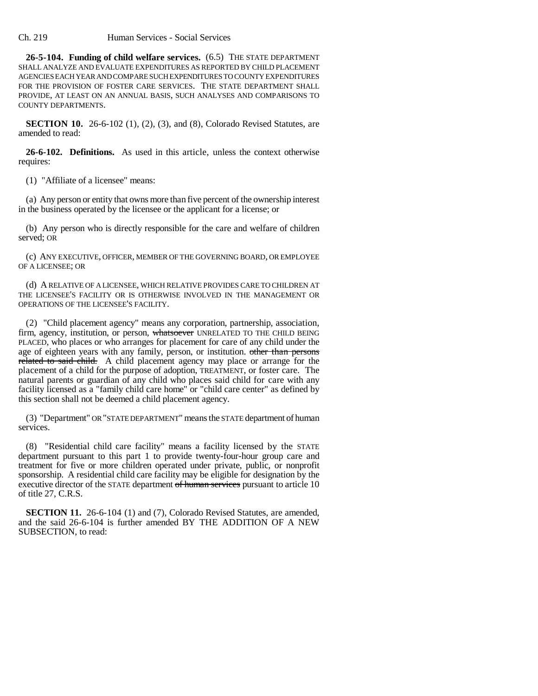Ch. 219 Human Services - Social Services

**26-5-104. Funding of child welfare services.** (6.5) THE STATE DEPARTMENT SHALL ANALYZE AND EVALUATE EXPENDITURES AS REPORTED BY CHILD PLACEMENT AGENCIES EACH YEAR AND COMPARE SUCH EXPENDITURES TO COUNTY EXPENDITURES FOR THE PROVISION OF FOSTER CARE SERVICES. THE STATE DEPARTMENT SHALL PROVIDE, AT LEAST ON AN ANNUAL BASIS, SUCH ANALYSES AND COMPARISONS TO COUNTY DEPARTMENTS.

**SECTION 10.** 26-6-102 (1), (2), (3), and (8), Colorado Revised Statutes, are amended to read:

**26-6-102. Definitions.** As used in this article, unless the context otherwise requires:

(1) "Affiliate of a licensee" means:

(a) Any person or entity that owns more than five percent of the ownership interest in the business operated by the licensee or the applicant for a license; or

(b) Any person who is directly responsible for the care and welfare of children served; OR

(c) ANY EXECUTIVE, OFFICER, MEMBER OF THE GOVERNING BOARD, OR EMPLOYEE OF A LICENSEE; OR

(d) A RELATIVE OF A LICENSEE, WHICH RELATIVE PROVIDES CARE TO CHILDREN AT THE LICENSEE'S FACILITY OR IS OTHERWISE INVOLVED IN THE MANAGEMENT OR OPERATIONS OF THE LICENSEE'S FACILITY.

(2) "Child placement agency" means any corporation, partnership, association, firm, agency, institution, or person, whatsoever UNRELATED TO THE CHILD BEING PLACED, who places or who arranges for placement for care of any child under the age of eighteen years with any family, person, or institution. other than persons related to said child. A child placement agency may place or arrange for the placement of a child for the purpose of adoption, TREATMENT, or foster care. The natural parents or guardian of any child who places said child for care with any facility licensed as a "family child care home" or "child care center" as defined by this section shall not be deemed a child placement agency.

(3) "Department" OR "STATE DEPARTMENT" means the STATE department of human services.

(8) "Residential child care facility" means a facility licensed by the STATE department pursuant to this part 1 to provide twenty-four-hour group care and treatment for five or more children operated under private, public, or nonprofit sponsorship. A residential child care facility may be eligible for designation by the executive director of the STATE department of human services pursuant to article 10 of title 27, C.R.S.

**SECTION 11.** 26-6-104 (1) and (7), Colorado Revised Statutes, are amended, and the said 26-6-104 is further amended BY THE ADDITION OF A NEW SUBSECTION, to read: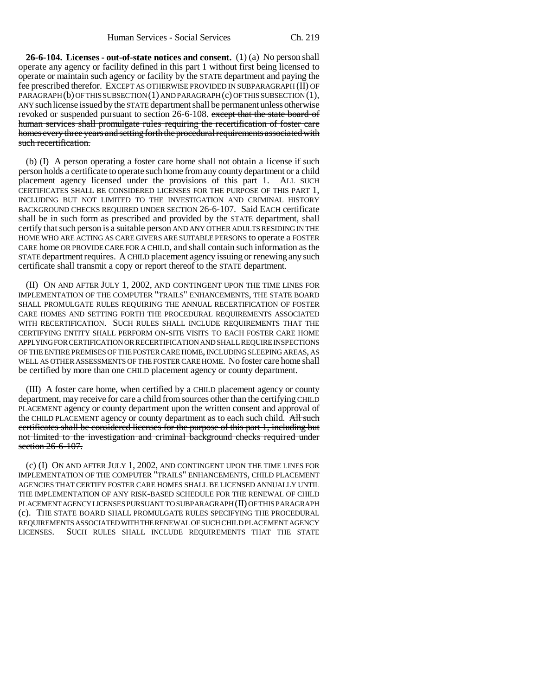**26-6-104. Licenses - out-of-state notices and consent.** (1) (a) No person shall operate any agency or facility defined in this part 1 without first being licensed to operate or maintain such agency or facility by the STATE department and paying the fee prescribed therefor. EXCEPT AS OTHERWISE PROVIDED IN SUBPARAGRAPH (II) OF PARAGRAPH (b) OF THIS SUBSECTION (1) AND PARAGRAPH (c) OF THIS SUBSECTION (1), ANY such license issued by the STATE department shall be permanent unless otherwise revoked or suspended pursuant to section 26-6-108. except that the state board of human services shall promulgate rules requiring the recertification of foster care homes every three years and setting forth the procedural requirements associated with such recertification.

(b) (I) A person operating a foster care home shall not obtain a license if such person holds a certificate to operate such home from any county department or a child placement agency licensed under the provisions of this part 1. ALL SUCH CERTIFICATES SHALL BE CONSIDERED LICENSES FOR THE PURPOSE OF THIS PART 1, INCLUDING BUT NOT LIMITED TO THE INVESTIGATION AND CRIMINAL HISTORY BACKGROUND CHECKS REQUIRED UNDER SECTION 26-6-107. Said EACH certificate shall be in such form as prescribed and provided by the STATE department, shall certify that such person is a suitable person AND ANY OTHER ADULTS RESIDING IN THE HOME WHO ARE ACTING AS CARE GIVERS ARE SUITABLE PERSONS to operate a FOSTER CARE home OR PROVIDE CARE FOR A CHILD, and shall contain such information as the STATE department requires. A CHILD placement agency issuing or renewing any such certificate shall transmit a copy or report thereof to the STATE department.

(II) ON AND AFTER JULY 1, 2002, AND CONTINGENT UPON THE TIME LINES FOR IMPLEMENTATION OF THE COMPUTER "TRAILS" ENHANCEMENTS, THE STATE BOARD SHALL PROMULGATE RULES REQUIRING THE ANNUAL RECERTIFICATION OF FOSTER CARE HOMES AND SETTING FORTH THE PROCEDURAL REQUIREMENTS ASSOCIATED WITH RECERTIFICATION. SUCH RULES SHALL INCLUDE REQUIREMENTS THAT THE CERTIFYING ENTITY SHALL PERFORM ON-SITE VISITS TO EACH FOSTER CARE HOME APPLYING FOR CERTIFICATION OR RECERTIFICATION AND SHALL REQUIRE INSPECTIONS OF THE ENTIRE PREMISES OF THE FOSTER CARE HOME, INCLUDING SLEEPING AREAS, AS WELL AS OTHER ASSESSMENTS OF THE FOSTER CARE HOME. No foster care home shall be certified by more than one CHILD placement agency or county department.

(III) A foster care home, when certified by a CHILD placement agency or county department, may receive for care a child from sources other than the certifying CHILD PLACEMENT agency or county department upon the written consent and approval of the CHILD PLACEMENT agency or county department as to each such child. All such certificates shall be considered licenses for the purpose of this part 1, including but not limited to the investigation and criminal background checks required under section 26-6-107.

(c) (I) ON AND AFTER JULY 1, 2002, AND CONTINGENT UPON THE TIME LINES FOR IMPLEMENTATION OF THE COMPUTER "TRAILS" ENHANCEMENTS, CHILD PLACEMENT AGENCIES THAT CERTIFY FOSTER CARE HOMES SHALL BE LICENSED ANNUALLY UNTIL THE IMPLEMENTATION OF ANY RISK-BASED SCHEDULE FOR THE RENEWAL OF CHILD PLACEMENT AGENCY LICENSES PURSUANT TO SUBPARAGRAPH (II) OF THIS PARAGRAPH (c). THE STATE BOARD SHALL PROMULGATE RULES SPECIFYING THE PROCEDURAL REQUIREMENTS ASSOCIATED WITH THE RENEWAL OF SUCH CHILD PLACEMENT AGENCY LICENSES. SUCH RULES SHALL INCLUDE REQUIREMENTS THAT THE STATE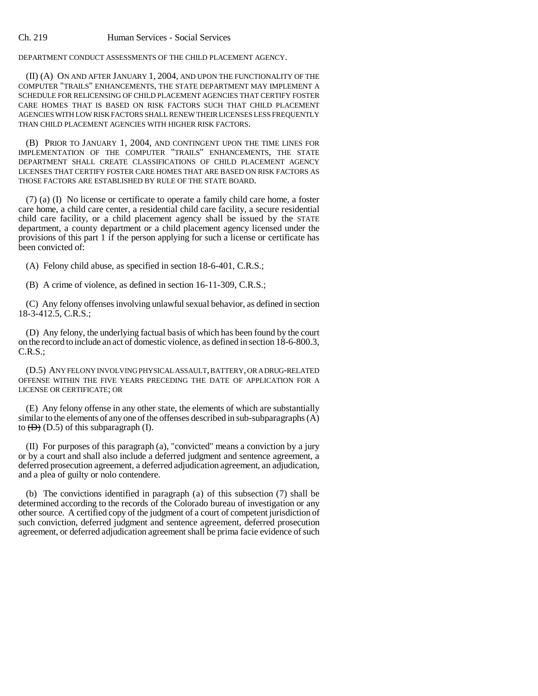DEPARTMENT CONDUCT ASSESSMENTS OF THE CHILD PLACEMENT AGENCY.

(II) (A) ON AND AFTER JANUARY 1, 2004, AND UPON THE FUNCTIONALITY OF THE COMPUTER "TRAILS" ENHANCEMENTS, THE STATE DEPARTMENT MAY IMPLEMENT A SCHEDULE FOR RELICENSING OF CHILD PLACEMENT AGENCIES THAT CERTIFY FOSTER CARE HOMES THAT IS BASED ON RISK FACTORS SUCH THAT CHILD PLACEMENT AGENCIES WITH LOW RISK FACTORS SHALL RENEW THEIR LICENSES LESS FREQUENTLY THAN CHILD PLACEMENT AGENCIES WITH HIGHER RISK FACTORS.

(B) PRIOR TO JANUARY 1, 2004, AND CONTINGENT UPON THE TIME LINES FOR IMPLEMENTATION OF THE COMPUTER "TRAILS" ENHANCEMENTS, THE STATE DEPARTMENT SHALL CREATE CLASSIFICATIONS OF CHILD PLACEMENT AGENCY LICENSES THAT CERTIFY FOSTER CARE HOMES THAT ARE BASED ON RISK FACTORS AS THOSE FACTORS ARE ESTABLISHED BY RULE OF THE STATE BOARD.

(7) (a) (I) No license or certificate to operate a family child care home, a foster care home, a child care center, a residential child care facility, a secure residential child care facility, or a child placement agency shall be issued by the STATE department, a county department or a child placement agency licensed under the provisions of this part 1 if the person applying for such a license or certificate has been convicted of:

(A) Felony child abuse, as specified in section 18-6-401, C.R.S.;

(B) A crime of violence, as defined in section 16-11-309, C.R.S.;

(C) Any felony offenses involving unlawful sexual behavior, as defined in section 18-3-412.5, C.R.S.;

(D) Any felony, the underlying factual basis of which has been found by the court on the record to include an act of domestic violence, as defined in section 18-6-800.3, C.R.S.;

(D.5) ANY FELONY INVOLVING PHYSICAL ASSAULT, BATTERY, OR A DRUG-RELATED OFFENSE WITHIN THE FIVE YEARS PRECEDING THE DATE OF APPLICATION FOR A LICENSE OR CERTIFICATE; OR

(E) Any felony offense in any other state, the elements of which are substantially similar to the elements of any one of the offenses described in sub-subparagraphs (A) to  $(\overline{D})$  (D.5) of this subparagraph (I).

(II) For purposes of this paragraph (a), "convicted" means a conviction by a jury or by a court and shall also include a deferred judgment and sentence agreement, a deferred prosecution agreement, a deferred adjudication agreement, an adjudication, and a plea of guilty or nolo contendere.

(b) The convictions identified in paragraph (a) of this subsection (7) shall be determined according to the records of the Colorado bureau of investigation or any other source. A certified copy of the judgment of a court of competent jurisdiction of such conviction, deferred judgment and sentence agreement, deferred prosecution agreement, or deferred adjudication agreement shall be prima facie evidence of such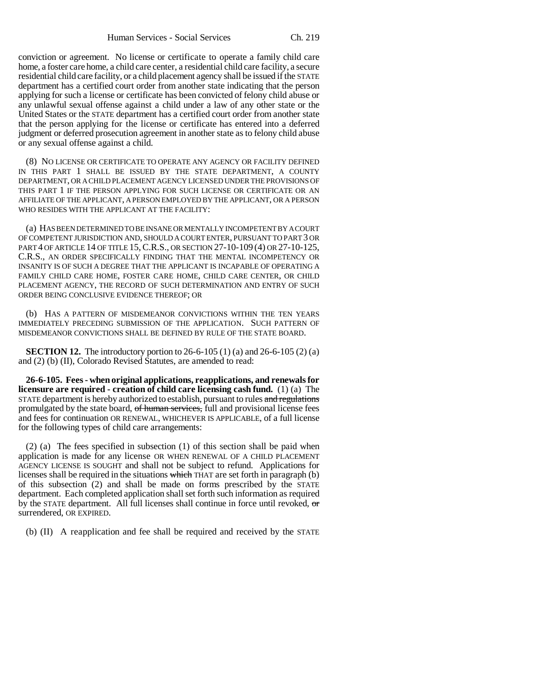conviction or agreement. No license or certificate to operate a family child care home, a foster care home, a child care center, a residential child care facility, a secure residential child care facility, or a child placement agency shall be issued if the STATE department has a certified court order from another state indicating that the person applying for such a license or certificate has been convicted of felony child abuse or any unlawful sexual offense against a child under a law of any other state or the United States or the STATE department has a certified court order from another state that the person applying for the license or certificate has entered into a deferred judgment or deferred prosecution agreement in another state as to felony child abuse or any sexual offense against a child.

(8) NO LICENSE OR CERTIFICATE TO OPERATE ANY AGENCY OR FACILITY DEFINED IN THIS PART 1 SHALL BE ISSUED BY THE STATE DEPARTMENT, A COUNTY DEPARTMENT, OR A CHILD PLACEMENT AGENCY LICENSED UNDER THE PROVISIONS OF THIS PART 1 IF THE PERSON APPLYING FOR SUCH LICENSE OR CERTIFICATE OR AN AFFILIATE OF THE APPLICANT, A PERSON EMPLOYED BY THE APPLICANT, OR A PERSON WHO RESIDES WITH THE APPLICANT AT THE FACILITY:

(a) HAS BEEN DETERMINED TO BE INSANE OR MENTALLY INCOMPETENT BY A COURT OF COMPETENT JURISDICTION AND, SHOULD A COURT ENTER, PURSUANT TO PART 3 OR PART 4 OF ARTICLE 14 OF TITLE 15,C.R.S., OR SECTION 27-10-109 (4) OR 27-10-125, C.R.S., AN ORDER SPECIFICALLY FINDING THAT THE MENTAL INCOMPETENCY OR INSANITY IS OF SUCH A DEGREE THAT THE APPLICANT IS INCAPABLE OF OPERATING A FAMILY CHILD CARE HOME, FOSTER CARE HOME, CHILD CARE CENTER, OR CHILD PLACEMENT AGENCY, THE RECORD OF SUCH DETERMINATION AND ENTRY OF SUCH ORDER BEING CONCLUSIVE EVIDENCE THEREOF; OR

(b) HAS A PATTERN OF MISDEMEANOR CONVICTIONS WITHIN THE TEN YEARS IMMEDIATELY PRECEDING SUBMISSION OF THE APPLICATION. SUCH PATTERN OF MISDEMEANOR CONVICTIONS SHALL BE DEFINED BY RULE OF THE STATE BOARD.

**SECTION 12.** The introductory portion to 26-6-105 (1) (a) and 26-6-105 (2) (a) and (2) (b) (II), Colorado Revised Statutes, are amended to read:

**26-6-105. Fees - when original applications, reapplications, and renewals for licensure are required - creation of child care licensing cash fund.** (1) (a) The STATE department is hereby authorized to establish, pursuant to rules and regulations promulgated by the state board, of human services, full and provisional license fees and fees for continuation OR RENEWAL, WHICHEVER IS APPLICABLE, of a full license for the following types of child care arrangements:

(2) (a) The fees specified in subsection (1) of this section shall be paid when application is made for any license OR WHEN RENEWAL OF A CHILD PLACEMENT AGENCY LICENSE IS SOUGHT and shall not be subject to refund. Applications for licenses shall be required in the situations which THAT are set forth in paragraph (b) of this subsection (2) and shall be made on forms prescribed by the STATE department. Each completed application shall set forth such information as required by the STATE department. All full licenses shall continue in force until revoked, or surrendered, OR EXPIRED.

(b) (II) A reapplication and fee shall be required and received by the STATE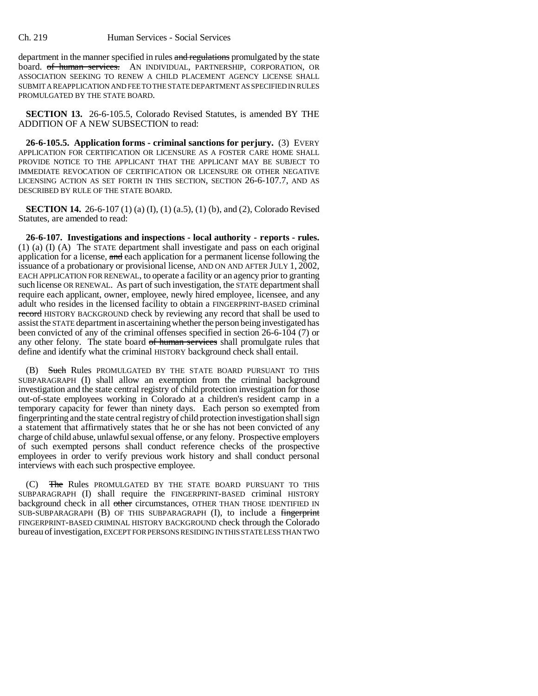department in the manner specified in rules and regulations promulgated by the state board. of human services. AN INDIVIDUAL, PARTNERSHIP, CORPORATION, OR ASSOCIATION SEEKING TO RENEW A CHILD PLACEMENT AGENCY LICENSE SHALL SUBMIT A REAPPLICATION AND FEE TO THE STATE DEPARTMENT AS SPECIFIED IN RULES PROMULGATED BY THE STATE BOARD.

**SECTION 13.** 26-6-105.5, Colorado Revised Statutes, is amended BY THE ADDITION OF A NEW SUBSECTION to read:

**26-6-105.5. Application forms - criminal sanctions for perjury.** (3) EVERY APPLICATION FOR CERTIFICATION OR LICENSURE AS A FOSTER CARE HOME SHALL PROVIDE NOTICE TO THE APPLICANT THAT THE APPLICANT MAY BE SUBJECT TO IMMEDIATE REVOCATION OF CERTIFICATION OR LICENSURE OR OTHER NEGATIVE LICENSING ACTION AS SET FORTH IN THIS SECTION, SECTION 26-6-107.7, AND AS DESCRIBED BY RULE OF THE STATE BOARD.

**SECTION 14.** 26-6-107 (1) (a) (I), (1) (a.5), (1) (b), and (2), Colorado Revised Statutes, are amended to read:

**26-6-107. Investigations and inspections - local authority - reports - rules.** (1) (a) (I) (A) The STATE department shall investigate and pass on each original application for a license, and each application for a permanent license following the issuance of a probationary or provisional license, AND ON AND AFTER JULY 1, 2002, EACH APPLICATION FOR RENEWAL, to operate a facility or an agency prior to granting such license OR RENEWAL. As part of such investigation, the STATE department shall require each applicant, owner, employee, newly hired employee, licensee, and any adult who resides in the licensed facility to obtain a FINGERPRINT-BASED criminal record HISTORY BACKGROUND check by reviewing any record that shall be used to assist the STATE department in ascertaining whether the person being investigated has been convicted of any of the criminal offenses specified in section 26-6-104 (7) or any other felony. The state board of human services shall promulgate rules that define and identify what the criminal HISTORY background check shall entail.

(B) Such Rules PROMULGATED BY THE STATE BOARD PURSUANT TO THIS SUBPARAGRAPH (I) shall allow an exemption from the criminal background investigation and the state central registry of child protection investigation for those out-of-state employees working in Colorado at a children's resident camp in a temporary capacity for fewer than ninety days. Each person so exempted from fingerprinting and the state central registry of child protection investigation shall sign a statement that affirmatively states that he or she has not been convicted of any charge of child abuse, unlawful sexual offense, or any felony. Prospective employers of such exempted persons shall conduct reference checks of the prospective employees in order to verify previous work history and shall conduct personal interviews with each such prospective employee.

(C) The Rules PROMULGATED BY THE STATE BOARD PURSUANT TO THIS SUBPARAGRAPH (I) shall require the FINGERPRINT-BASED criminal HISTORY background check in all other circumstances, OTHER THAN THOSE IDENTIFIED IN SUB-SUBPARAGRAPH (B) OF THIS SUBPARAGRAPH (I), to include a fingerprint FINGERPRINT-BASED CRIMINAL HISTORY BACKGROUND check through the Colorado bureau of investigation, EXCEPT FOR PERSONS RESIDING IN THIS STATE LESS THAN TWO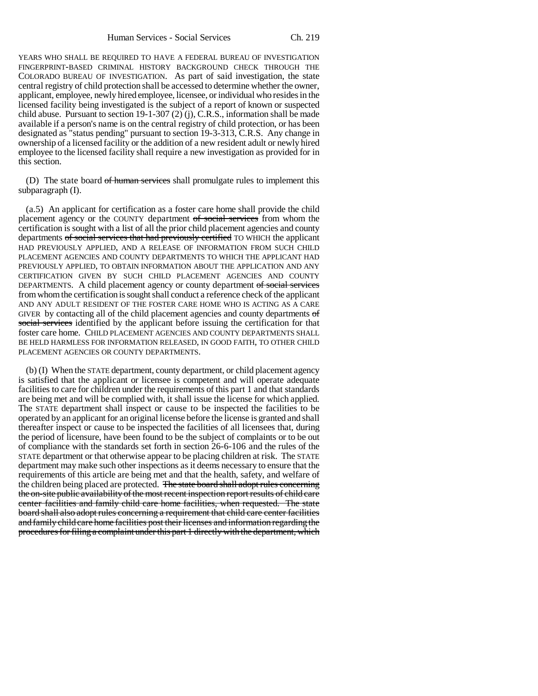Human Services - Social Services Ch. 219

YEARS WHO SHALL BE REQUIRED TO HAVE A FEDERAL BUREAU OF INVESTIGATION FINGERPRINT-BASED CRIMINAL HISTORY BACKGROUND CHECK THROUGH THE COLORADO BUREAU OF INVESTIGATION. As part of said investigation, the state central registry of child protection shall be accessed to determine whether the owner, applicant, employee, newly hired employee, licensee, or individual who resides in the licensed facility being investigated is the subject of a report of known or suspected child abuse. Pursuant to section 19-1-307 (2) (j), C.R.S., information shall be made available if a person's name is on the central registry of child protection, or has been designated as "status pending" pursuant to section 19-3-313, C.R.S. Any change in ownership of a licensed facility or the addition of a new resident adult or newly hired employee to the licensed facility shall require a new investigation as provided for in this section.

(D) The state board of human services shall promulgate rules to implement this subparagraph (I).

(a.5) An applicant for certification as a foster care home shall provide the child placement agency or the COUNTY department of social services from whom the certification is sought with a list of all the prior child placement agencies and county departments of social services that had previously certified TO WHICH the applicant HAD PREVIOUSLY APPLIED, AND A RELEASE OF INFORMATION FROM SUCH CHILD PLACEMENT AGENCIES AND COUNTY DEPARTMENTS TO WHICH THE APPLICANT HAD PREVIOUSLY APPLIED, TO OBTAIN INFORMATION ABOUT THE APPLICATION AND ANY CERTIFICATION GIVEN BY SUCH CHILD PLACEMENT AGENCIES AND COUNTY DEPARTMENTS. A child placement agency or county department of social services from whom the certification is sought shall conduct a reference check of the applicant AND ANY ADULT RESIDENT OF THE FOSTER CARE HOME WHO IS ACTING AS A CARE GIVER by contacting all of the child placement agencies and county departments of social services identified by the applicant before issuing the certification for that foster care home. CHILD PLACEMENT AGENCIES AND COUNTY DEPARTMENTS SHALL BE HELD HARMLESS FOR INFORMATION RELEASED, IN GOOD FAITH, TO OTHER CHILD PLACEMENT AGENCIES OR COUNTY DEPARTMENTS.

(b) (I) When the STATE department, county department, or child placement agency is satisfied that the applicant or licensee is competent and will operate adequate facilities to care for children under the requirements of this part 1 and that standards are being met and will be complied with, it shall issue the license for which applied. The STATE department shall inspect or cause to be inspected the facilities to be operated by an applicant for an original license before the license is granted and shall thereafter inspect or cause to be inspected the facilities of all licensees that, during the period of licensure, have been found to be the subject of complaints or to be out of compliance with the standards set forth in section 26-6-106 and the rules of the STATE department or that otherwise appear to be placing children at risk. The STATE department may make such other inspections as it deems necessary to ensure that the requirements of this article are being met and that the health, safety, and welfare of the children being placed are protected. The state board shall adopt rules concerning the on-site public availability of the most recent inspection report results of child care center facilities and family child care home facilities, when requested. The state board shall also adopt rules concerning a requirement that child care center facilities and family child care home facilities post their licenses and information regarding the procedures for filing a complaint under this part 1 directly with the department, which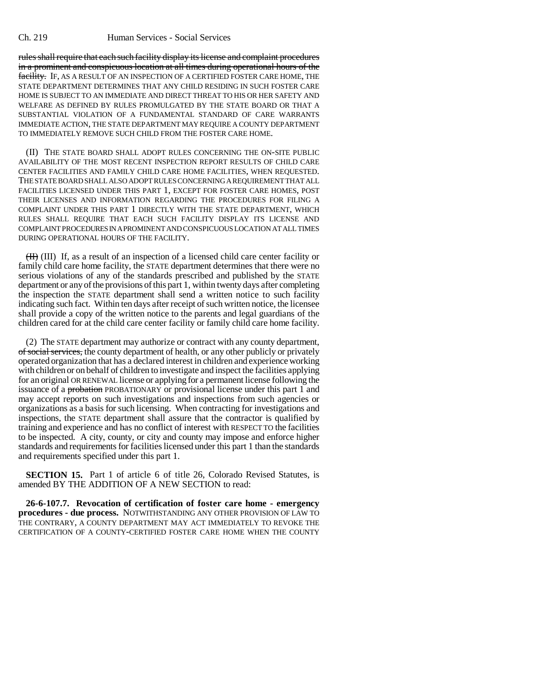rules shall require that each such facility display its license and complaint procedures in a prominent and conspicuous location at all times during operational hours of the facility. IF, AS A RESULT OF AN INSPECTION OF A CERTIFIED FOSTER CARE HOME, THE STATE DEPARTMENT DETERMINES THAT ANY CHILD RESIDING IN SUCH FOSTER CARE HOME IS SUBJECT TO AN IMMEDIATE AND DIRECT THREAT TO HIS OR HER SAFETY AND WELFARE AS DEFINED BY RULES PROMULGATED BY THE STATE BOARD OR THAT A SUBSTANTIAL VIOLATION OF A FUNDAMENTAL STANDARD OF CARE WARRANTS IMMEDIATE ACTION, THE STATE DEPARTMENT MAY REQUIRE A COUNTY DEPARTMENT TO IMMEDIATELY REMOVE SUCH CHILD FROM THE FOSTER CARE HOME.

(II) THE STATE BOARD SHALL ADOPT RULES CONCERNING THE ON-SITE PUBLIC AVAILABILITY OF THE MOST RECENT INSPECTION REPORT RESULTS OF CHILD CARE CENTER FACILITIES AND FAMILY CHILD CARE HOME FACILITIES, WHEN REQUESTED. THE STATE BOARD SHALL ALSO ADOPT RULES CONCERNING A REQUIREMENT THAT ALL FACILITIES LICENSED UNDER THIS PART 1, EXCEPT FOR FOSTER CARE HOMES, POST THEIR LICENSES AND INFORMATION REGARDING THE PROCEDURES FOR FILING A COMPLAINT UNDER THIS PART 1 DIRECTLY WITH THE STATE DEPARTMENT, WHICH RULES SHALL REQUIRE THAT EACH SUCH FACILITY DISPLAY ITS LICENSE AND COMPLAINT PROCEDURES IN A PROMINENT AND CONSPICUOUS LOCATION AT ALL TIMES DURING OPERATIONAL HOURS OF THE FACILITY.

(II) (III) If, as a result of an inspection of a licensed child care center facility or family child care home facility, the STATE department determines that there were no serious violations of any of the standards prescribed and published by the STATE department or any of the provisions of this part 1, within twenty days after completing the inspection the STATE department shall send a written notice to such facility indicating such fact. Within ten days after receipt of such written notice, the licensee shall provide a copy of the written notice to the parents and legal guardians of the children cared for at the child care center facility or family child care home facility.

(2) The STATE department may authorize or contract with any county department, of social services, the county department of health, or any other publicly or privately operated organization that has a declared interest in children and experience working with children or on behalf of children to investigate and inspect the facilities applying for an original OR RENEWAL license or applying for a permanent license following the issuance of a probation PROBATIONARY or provisional license under this part 1 and may accept reports on such investigations and inspections from such agencies or organizations as a basis for such licensing. When contracting for investigations and inspections, the STATE department shall assure that the contractor is qualified by training and experience and has no conflict of interest with RESPECT TO the facilities to be inspected. A city, county, or city and county may impose and enforce higher standards and requirements for facilities licensed under this part 1 than the standards and requirements specified under this part 1.

**SECTION 15.** Part 1 of article 6 of title 26, Colorado Revised Statutes, is amended BY THE ADDITION OF A NEW SECTION to read:

**26-6-107.7. Revocation of certification of foster care home - emergency procedures - due process.** NOTWITHSTANDING ANY OTHER PROVISION OF LAW TO THE CONTRARY, A COUNTY DEPARTMENT MAY ACT IMMEDIATELY TO REVOKE THE CERTIFICATION OF A COUNTY-CERTIFIED FOSTER CARE HOME WHEN THE COUNTY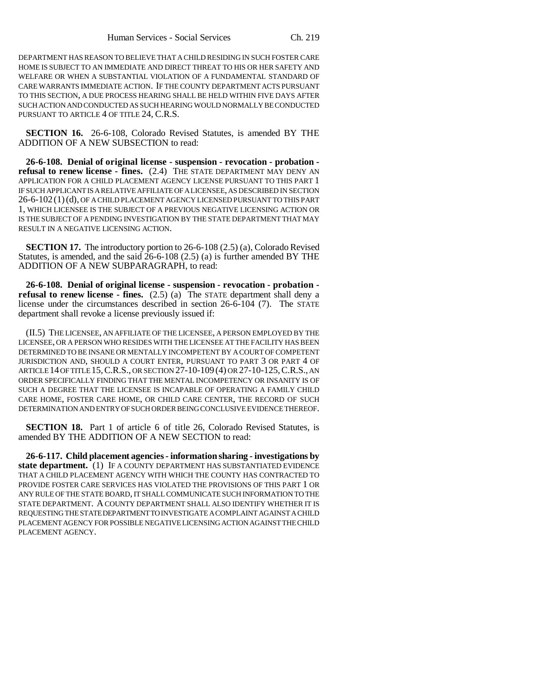DEPARTMENT HAS REASON TO BELIEVE THAT A CHILD RESIDING IN SUCH FOSTER CARE HOME IS SUBJECT TO AN IMMEDIATE AND DIRECT THREAT TO HIS OR HER SAFETY AND WELFARE OR WHEN A SUBSTANTIAL VIOLATION OF A FUNDAMENTAL STANDARD OF CARE WARRANTS IMMEDIATE ACTION. IF THE COUNTY DEPARTMENT ACTS PURSUANT TO THIS SECTION, A DUE PROCESS HEARING SHALL BE HELD WITHIN FIVE DAYS AFTER SUCH ACTION AND CONDUCTED AS SUCH HEARING WOULD NORMALLY BE CONDUCTED PURSUANT TO ARTICLE 4 OF TITLE 24, C.R.S.

**SECTION 16.** 26-6-108, Colorado Revised Statutes, is amended BY THE ADDITION OF A NEW SUBSECTION to read:

**26-6-108. Denial of original license - suspension - revocation - probation refusal to renew license - fines.** (2.4) THE STATE DEPARTMENT MAY DENY AN APPLICATION FOR A CHILD PLACEMENT AGENCY LICENSE PURSUANT TO THIS PART 1 IF SUCH APPLICANT IS A RELATIVE AFFILIATE OF A LICENSEE, AS DESCRIBED IN SECTION 26-6-102 (1)(d), OF A CHILD PLACEMENT AGENCY LICENSED PURSUANT TO THIS PART 1, WHICH LICENSEE IS THE SUBJECT OF A PREVIOUS NEGATIVE LICENSING ACTION OR IS THE SUBJECT OF A PENDING INVESTIGATION BY THE STATE DEPARTMENT THAT MAY RESULT IN A NEGATIVE LICENSING ACTION.

**SECTION 17.** The introductory portion to 26-6-108 (2.5) (a), Colorado Revised Statutes, is amended, and the said  $26-6-108$  (2.5) (a) is further amended BY THE ADDITION OF A NEW SUBPARAGRAPH, to read:

**26-6-108. Denial of original license - suspension - revocation - probation refusal to renew license - fines.** (2.5) (a) The STATE department shall deny a license under the circumstances described in section 26-6-104 (7). The STATE department shall revoke a license previously issued if:

(II.5) THE LICENSEE, AN AFFILIATE OF THE LICENSEE, A PERSON EMPLOYED BY THE LICENSEE, OR A PERSON WHO RESIDES WITH THE LICENSEE AT THE FACILITY HAS BEEN DETERMINED TO BE INSANE OR MENTALLY INCOMPETENT BY A COURT OF COMPETENT JURISDICTION AND, SHOULD A COURT ENTER, PURSUANT TO PART 3 OR PART 4 OF ARTICLE 14 OF TITLE 15,C.R.S., OR SECTION 27-10-109 (4) OR 27-10-125,C.R.S., AN ORDER SPECIFICALLY FINDING THAT THE MENTAL INCOMPETENCY OR INSANITY IS OF SUCH A DEGREE THAT THE LICENSEE IS INCAPABLE OF OPERATING A FAMILY CHILD CARE HOME, FOSTER CARE HOME, OR CHILD CARE CENTER, THE RECORD OF SUCH DETERMINATION AND ENTRY OF SUCH ORDER BEING CONCLUSIVE EVIDENCE THEREOF.

**SECTION 18.** Part 1 of article 6 of title 26, Colorado Revised Statutes, is amended BY THE ADDITION OF A NEW SECTION to read:

**26-6-117. Child placement agencies - information sharing - investigations by state department.** (1) IF A COUNTY DEPARTMENT HAS SUBSTANTIATED EVIDENCE THAT A CHILD PLACEMENT AGENCY WITH WHICH THE COUNTY HAS CONTRACTED TO PROVIDE FOSTER CARE SERVICES HAS VIOLATED THE PROVISIONS OF THIS PART 1 OR ANY RULE OF THE STATE BOARD, IT SHALL COMMUNICATE SUCH INFORMATION TO THE STATE DEPARTMENT. A COUNTY DEPARTMENT SHALL ALSO IDENTIFY WHETHER IT IS REQUESTING THE STATE DEPARTMENT TO INVESTIGATE A COMPLAINT AGAINST A CHILD PLACEMENT AGENCY FOR POSSIBLE NEGATIVE LICENSING ACTION AGAINST THE CHILD PLACEMENT AGENCY.